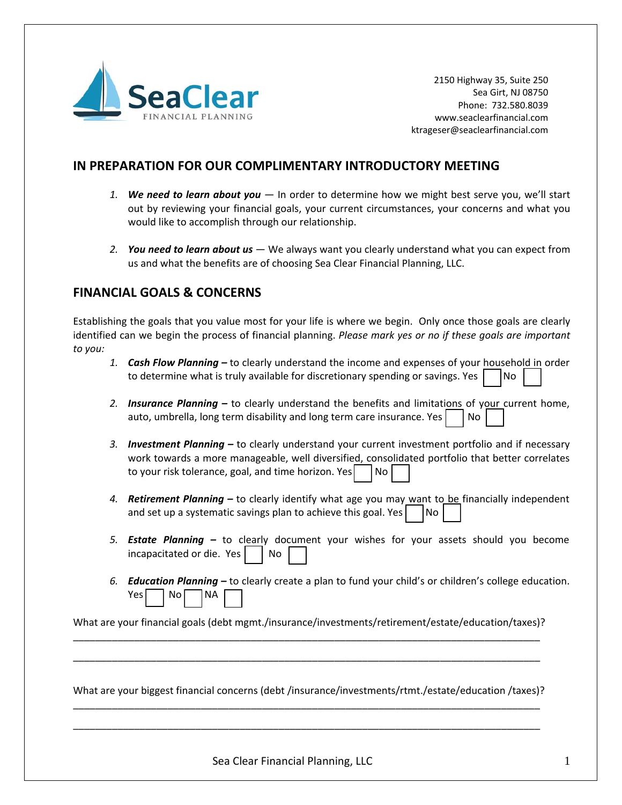

2150 Highway 35, Suite 250 Sea Girt, NJ 08750 Phone: 732.580.8039 www[.seaclearfinancial.com](mailto:sheri@sageadvisorygroup.com) ktrageser@seaclearfinancial.com

#### **IN PREPARATION FOR OUR COMPLIMENTARY INTRODUCTORY MEETING**

- *1. We need to learn about you* In order to determine how we might best serve you, we'll start out by reviewing your financial goals, your current circumstances, your concerns and what you would like to accomplish through our relationship.
- *2. You need to learn about us*  We always want you clearly understand what you can expect from us and what the benefits are of choosing Sea Clear Financial Planning, LLC.

#### **FINANCIAL GOALS & CONCERNS**

Establishing the goals that you value most for your life is where we begin. Only once those goals are clearly identified can we begin the process of financial planning. *Please mark yes or no if these goals are important to you:*

- *1. Cash Flow Planning –* to clearly understand the income and expenses of your household in order to determine what is truly available for discretionary spending or savings. Yes  $\vert \quad \vert$ No
- *2. Insurance Planning* to clearly understand the benefits and limitations of your current home, auto, umbrella, long term disability and long term care insurance. Yes  $\vert \quad \vert$  No
- *3. Investment Planning* to clearly understand your current investment portfolio and if necessary work towards a more manageable, well diversified, consolidated portfolio that better correlates to your risk tolerance, goal, and time horizon. Yes  $\vert$  No
- *4. Retirement Planning –* to clearly identify what age you may want to be financially independent and set up a systematic savings plan to achieve this goal. Yes  $|$  No  $|$
- *5. Estate Planning* to clearly document your wishes for your assets should you become incapacitated or die. Yes  $\vert \ \vert$  No
- *6. Education Planning* to clearly create a plan to fund your child's or children's college education.  $Yes | No | No$

What are your financial goals (debt mgmt./insurance/investments/retirement/estate/education/taxes)? \_\_\_\_\_\_\_\_\_\_\_\_\_\_\_\_\_\_\_\_\_\_\_\_\_\_\_\_\_\_\_\_\_\_\_\_\_\_\_\_\_\_\_\_\_\_\_\_\_\_\_\_\_\_\_\_\_\_\_\_\_\_\_\_\_\_\_\_\_\_\_\_\_\_\_\_\_\_\_\_\_\_\_\_

What are your biggest financial concerns (debt /insurance/investments/rtmt./estate/education /taxes)? \_\_\_\_\_\_\_\_\_\_\_\_\_\_\_\_\_\_\_\_\_\_\_\_\_\_\_\_\_\_\_\_\_\_\_\_\_\_\_\_\_\_\_\_\_\_\_\_\_\_\_\_\_\_\_\_\_\_\_\_\_\_\_\_\_\_\_\_\_\_\_\_\_\_\_\_\_\_\_\_\_\_\_\_

\_\_\_\_\_\_\_\_\_\_\_\_\_\_\_\_\_\_\_\_\_\_\_\_\_\_\_\_\_\_\_\_\_\_\_\_\_\_\_\_\_\_\_\_\_\_\_\_\_\_\_\_\_\_\_\_\_\_\_\_\_\_\_\_\_\_\_\_\_\_\_\_\_\_\_\_\_\_\_\_\_\_\_\_

\_\_\_\_\_\_\_\_\_\_\_\_\_\_\_\_\_\_\_\_\_\_\_\_\_\_\_\_\_\_\_\_\_\_\_\_\_\_\_\_\_\_\_\_\_\_\_\_\_\_\_\_\_\_\_\_\_\_\_\_\_\_\_\_\_\_\_\_\_\_\_\_\_\_\_\_\_\_\_\_\_\_\_\_

Sea Clear Financial Planning, LLC 1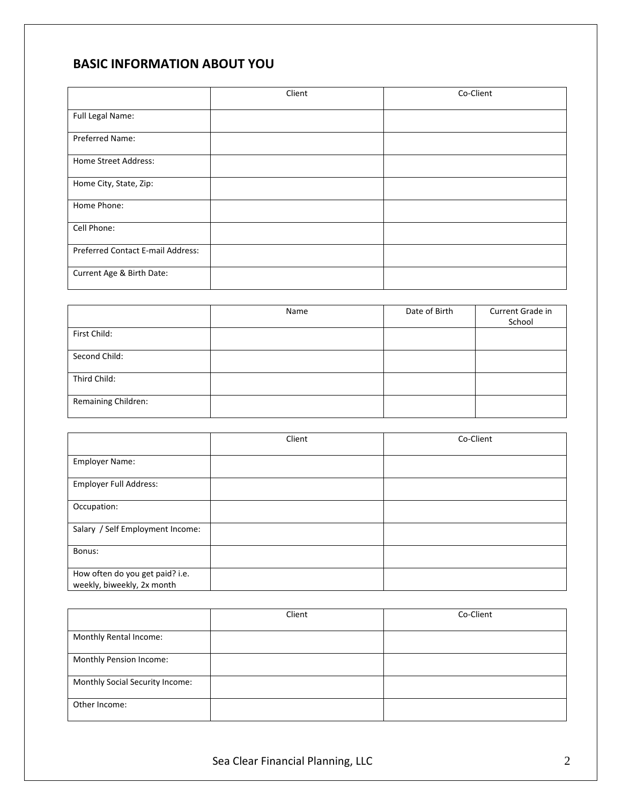## **BASIC INFORMATION ABOUT YOU**

|                                   | Client | Co-Client |
|-----------------------------------|--------|-----------|
| Full Legal Name:                  |        |           |
| Preferred Name:                   |        |           |
| Home Street Address:              |        |           |
| Home City, State, Zip:            |        |           |
| Home Phone:                       |        |           |
| Cell Phone:                       |        |           |
| Preferred Contact E-mail Address: |        |           |
| Current Age & Birth Date:         |        |           |

|                     | Name | Date of Birth | Current Grade in<br>School |
|---------------------|------|---------------|----------------------------|
| First Child:        |      |               |                            |
| Second Child:       |      |               |                            |
| Third Child:        |      |               |                            |
| Remaining Children: |      |               |                            |

|                                                               | Client | Co-Client |
|---------------------------------------------------------------|--------|-----------|
| Employer Name:                                                |        |           |
| <b>Employer Full Address:</b>                                 |        |           |
| Occupation:                                                   |        |           |
| Salary / Self Employment Income:                              |        |           |
| Bonus:                                                        |        |           |
| How often do you get paid? i.e.<br>weekly, biweekly, 2x month |        |           |

|                                 | Client | Co-Client |
|---------------------------------|--------|-----------|
| Monthly Rental Income:          |        |           |
| Monthly Pension Income:         |        |           |
| Monthly Social Security Income: |        |           |
| Other Income:                   |        |           |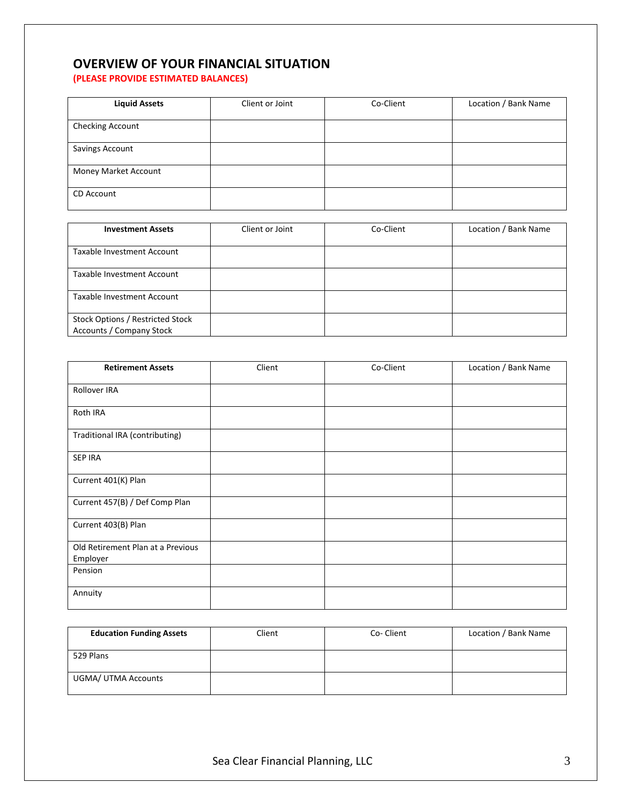# **OVERVIEW OF YOUR FINANCIAL SITUATION**

**(PLEASE PROVIDE ESTIMATED BALANCES)**

| <b>Liquid Assets</b>    | Client or Joint | Co-Client | Location / Bank Name |
|-------------------------|-----------------|-----------|----------------------|
| <b>Checking Account</b> |                 |           |                      |
| Savings Account         |                 |           |                      |
| Money Market Account    |                 |           |                      |
| CD Account              |                 |           |                      |

| <b>Investment Assets</b>                                            | Client or Joint | Co-Client | Location / Bank Name |
|---------------------------------------------------------------------|-----------------|-----------|----------------------|
| Taxable Investment Account                                          |                 |           |                      |
| Taxable Investment Account                                          |                 |           |                      |
| Taxable Investment Account                                          |                 |           |                      |
| Stock Options / Restricted Stock<br><b>Accounts / Company Stock</b> |                 |           |                      |

| <b>Retirement Assets</b>                      | Client | Co-Client | Location / Bank Name |
|-----------------------------------------------|--------|-----------|----------------------|
| Rollover IRA                                  |        |           |                      |
| Roth IRA                                      |        |           |                      |
| Traditional IRA (contributing)                |        |           |                      |
| <b>SEP IRA</b>                                |        |           |                      |
| Current 401(K) Plan                           |        |           |                      |
| Current 457(B) / Def Comp Plan                |        |           |                      |
| Current 403(B) Plan                           |        |           |                      |
| Old Retirement Plan at a Previous<br>Employer |        |           |                      |
| Pension                                       |        |           |                      |
| Annuity                                       |        |           |                      |

| <b>Education Funding Assets</b> | Client | Co-Client | Location / Bank Name |
|---------------------------------|--------|-----------|----------------------|
| 529 Plans                       |        |           |                      |
| UGMA/ UTMA Accounts             |        |           |                      |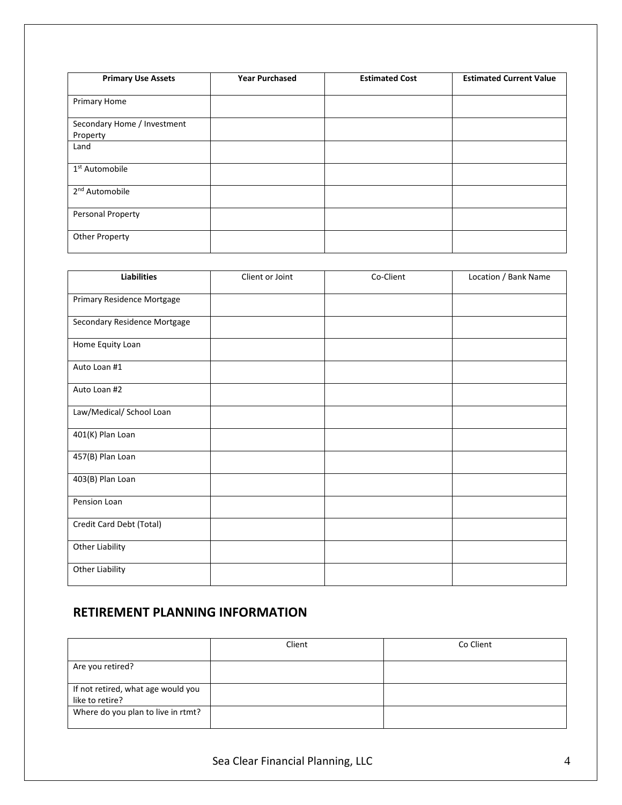| <b>Primary Use Assets</b>               | <b>Year Purchased</b> | <b>Estimated Cost</b> | <b>Estimated Current Value</b> |
|-----------------------------------------|-----------------------|-----------------------|--------------------------------|
| <b>Primary Home</b>                     |                       |                       |                                |
| Secondary Home / Investment<br>Property |                       |                       |                                |
| Land                                    |                       |                       |                                |
| 1 <sup>st</sup> Automobile              |                       |                       |                                |
| 2 <sup>nd</sup> Automobile              |                       |                       |                                |
| Personal Property                       |                       |                       |                                |
| <b>Other Property</b>                   |                       |                       |                                |

| <b>Liabilities</b>           | Client or Joint | Co-Client | Location / Bank Name |
|------------------------------|-----------------|-----------|----------------------|
| Primary Residence Mortgage   |                 |           |                      |
| Secondary Residence Mortgage |                 |           |                      |
| Home Equity Loan             |                 |           |                      |
| Auto Loan #1                 |                 |           |                      |
| Auto Loan #2                 |                 |           |                      |
| Law/Medical/ School Loan     |                 |           |                      |
| 401(K) Plan Loan             |                 |           |                      |
| 457(B) Plan Loan             |                 |           |                      |
| 403(B) Plan Loan             |                 |           |                      |
| Pension Loan                 |                 |           |                      |
| Credit Card Debt (Total)     |                 |           |                      |
| <b>Other Liability</b>       |                 |           |                      |
| <b>Other Liability</b>       |                 |           |                      |

## **RETIREMENT PLANNING INFORMATION**

|                                                       | Client | Co Client |
|-------------------------------------------------------|--------|-----------|
| Are you retired?                                      |        |           |
| If not retired, what age would you<br>like to retire? |        |           |
| Where do you plan to live in rtmt?                    |        |           |